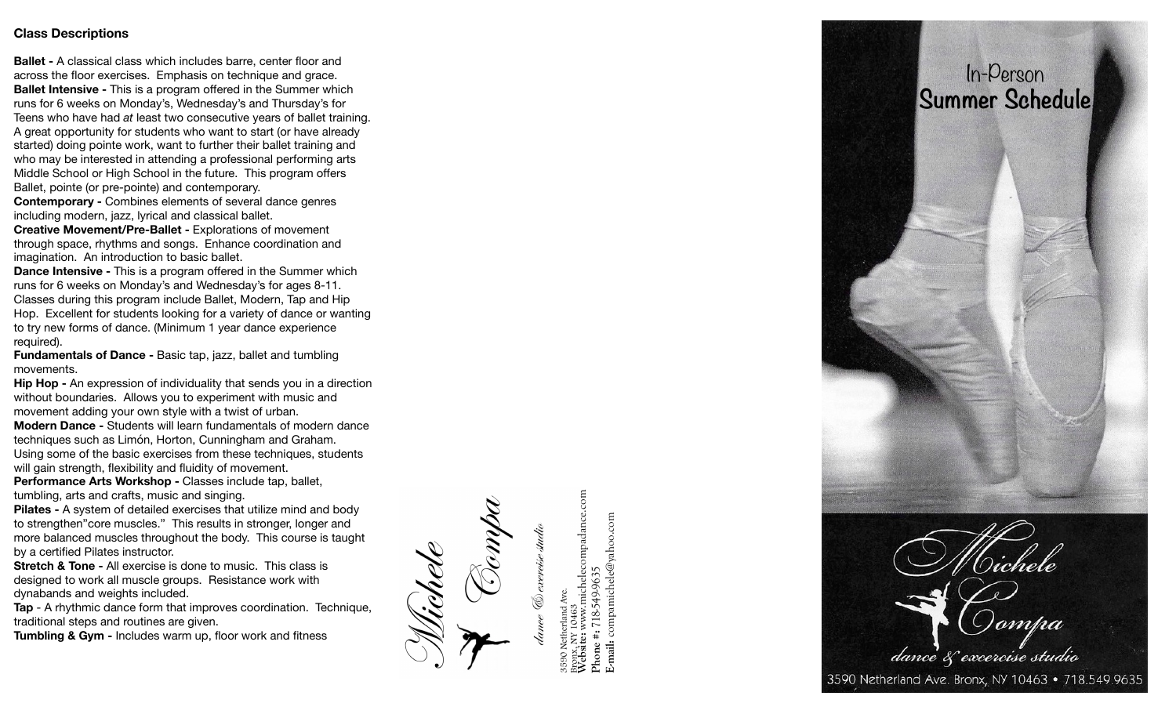### **Class Descriptions**

**Ballet -** A classical class which includes barre, center floor and across the floor exercises. Emphasis on technique and grace. **Ballet Intensive -** This is a program offered in the Summer which runs for 6 weeks on Monday's, Wednesday's and Thursday's for Teens who have had *at* least two consecutive years of ballet training. A great opportunity for students who want to start (or have already started) doing pointe work, want to further their ballet training and who may be interested in attending a professional performing arts Middle School or High School in the future. This program o ffers Ballet, pointe (or pre-pointe) and contemporary.

**Contemporary - Combines elements of several dance genres** including modern, jazz, lyrical and classical ballet.

**Creative Movement/Pre-Ballet - Explorations of movement** through space, rhythms and songs. Enhance coordination and imagination. An introduction to basic ballet.

**Dance Intensive -** This is a program offered in the Summer which runs for 6 weeks on Monday's and Wednesday's for ages 8-11. Classes during this program include Ballet, Modern, Tap and Hip Hop. Excellent for students looking for a variety of dance or wanting to try new forms of dance. (Minimum 1 year dance experience required).

**Fundamentals of Dance -** Basic tap, jazz, ballet and tumbling movements.

**Hip Hop -** An expression of individuality that sends you in a direction without boundaries. Allows you to experiment with music and movement adding your own style with a twist of urban.

**Modern Dance -** Students will learn fundamentals of modern dance techniques such as Limón, Horton, Cunningham and Graham. Using some of the basic exercises from these techniques, students will gain strength, flexibility and fluidity of movement.

**Performance Arts Workshop - Classes include tap, ballet,** tumbling, arts and crafts, music and singing.

**Pilates - A system of detailed exercises that utilize mind and body** to strengthen"core muscles." This results in stronger, longer and more balanced muscles throughout the body. This course is taught by a certi fied Pilates instructor.

**Stretch & Tone - All exercise is done to music. This class is** designed to work all muscle groups. Resistance work with dynabands and weights included.

**Tap** - A rhythmic dance form that improves coordination. Technique, traditional steps and routines are given.

**Tumbling & Gym -** Includes warm up, floor work and fitness

**Website:** www.michelecompadance.com helecompadance.com **E-mail:** compamichele@yahoo.com michele@yahoo.com **Phone #:** 718-549-9635